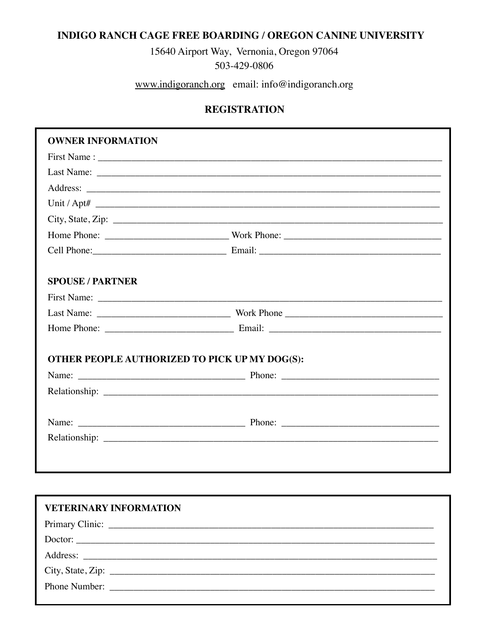## **INDIGO RANCH CAGE FREE BOARDING / OREGON CANINE UNIVERSITY**

15640 Airport Way, Vernonia, Oregon 97064 503-429-0806

www.indigoranch.org email: info@indigoranch.org

## **REGISTRATION**

| <b>OWNER INFORMATION</b>                      |                   |
|-----------------------------------------------|-------------------|
|                                               |                   |
|                                               |                   |
|                                               |                   |
|                                               |                   |
|                                               | City, State, Zip: |
|                                               |                   |
|                                               |                   |
| <b>SPOUSE / PARTNER</b>                       |                   |
|                                               |                   |
|                                               |                   |
|                                               |                   |
| OTHER PEOPLE AUTHORIZED TO PICK UP MY DOG(S): |                   |
|                                               |                   |
|                                               |                   |
|                                               |                   |
|                                               |                   |
|                                               |                   |
|                                               |                   |

| <b>VETERINARY INFORMATION</b>                                                                                                                                                                                                                                                                                     |
|-------------------------------------------------------------------------------------------------------------------------------------------------------------------------------------------------------------------------------------------------------------------------------------------------------------------|
|                                                                                                                                                                                                                                                                                                                   |
|                                                                                                                                                                                                                                                                                                                   |
|                                                                                                                                                                                                                                                                                                                   |
| City, State, Zip: $\frac{1}{2}$ $\frac{1}{2}$ $\frac{1}{2}$ $\frac{1}{2}$ $\frac{1}{2}$ $\frac{1}{2}$ $\frac{1}{2}$ $\frac{1}{2}$ $\frac{1}{2}$ $\frac{1}{2}$ $\frac{1}{2}$ $\frac{1}{2}$ $\frac{1}{2}$ $\frac{1}{2}$ $\frac{1}{2}$ $\frac{1}{2}$ $\frac{1}{2}$ $\frac{1}{2}$ $\frac{1}{2}$ $\frac{1}{2}$ $\frac$ |
|                                                                                                                                                                                                                                                                                                                   |
|                                                                                                                                                                                                                                                                                                                   |